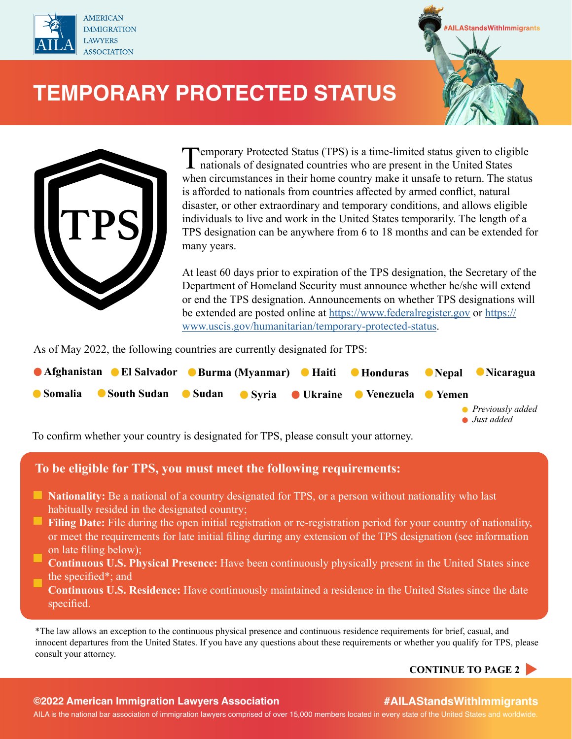



# **TEMPORARY PROTECTED STATUS**



Temporary Protected Status (TPS) is a time-limited status given to eligible nationals of designated countries who are present in the United States when circumstances in their home country make it unsafe to return. The status is afforded to nationals from countries affected by armed conflict, natural disaster, or other extraordinary and temporary conditions, and allows eligible individuals to live and work in the United States temporarily. The length of a TPS designation can be anywhere from 6 to 18 months and can be extended for many years.

At least 60 days prior to expiration of the TPS designation, the Secretary of the Department of Homeland Security must announce whether he/she will extend or end the TPS designation. Announcements on whether TPS designations will be extended are posted online at [https://www.federalregister.gov](https://www.federalregister.gov/) or [https://](https://www.uscis.gov/humanitarian/temporary-protected-status) [www.uscis.gov/humanitarian/temporary-protected-status.](https://www.uscis.gov/humanitarian/temporary-protected-status)

As of May 2022, the following countries are currently designated for TPS:

| ● Afghanistan ● El Salvador ● Burma (Myanmar) ● Haiti ● Honduras ● Nepal ● Nicaragua |                                                             |  |  |                                            |
|--------------------------------------------------------------------------------------|-------------------------------------------------------------|--|--|--------------------------------------------|
| ● Somalia                                                                            | ● South Sudan ● Sudan ● Syria ● Ukraine ● Venezuela ● Yemen |  |  | • Previously added<br>$\bullet$ Just added |

To confirm whether your country is designated for TPS, please consult your attorney.

### **To be eligible for TPS, you must meet the following requirements:**

- **Nationality:** Be a national of a country designated for TPS, or a person without nationality who last habitually resided in the designated country;
- **Filing Date:** File during the open initial registration or re-registration period for your country of nationality, or meet the requirements for late initial filing during any extension of the TPS designation (see information on late filing below);
- **Continuous U.S. Physical Presence:** Have been continuously physically present in the United States since the specified\*; and
- **Continuous U.S. Residence:** Have continuously maintained a residence in the United States since the date specified.

\*The law allows an exception to the continuous physical presence and continuous residence requirements for brief, casual, and innocent departures from the United States. If you have any questions about these requirements or whether you qualify for TPS, please consult your attorney.

**CONTINUE TO PAGE 2**

### **©2022 American Immigration Lawyers Association**

### **#AILAStandsWithImmigrants**

AILA is the national bar association of immigration lawyers comprised of over 15,000 members located in every state of the United States and worldwide.